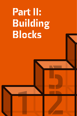## Part II:<br>Building<br>Blocks Building Blocks

1 2 3

5 R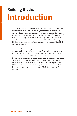## Building Blocks Introduction

This part of the book contains the meat and bones of our curriculum design method: ten thematic areas of knowledge and skills in economics. Each of the ten building blocks covers an area of knowledge or a skill that we see as essential for the education of future economists. These 'building blocks' can be used as templates to create courses, of generally six to ten weeks each. One can also pick and choose elements of the different building blocks to combine them into a broader course, or split up a building block into several courses.

This book is designed to help construct a curriculum that fits your specific situation, rather than to advocate one 'ideal' curriculum. Hence we have designed the building blocks to be useful for constructing anything from a single course to an entire bachelor programme. They can be shortened, lengthened, combined or altered according to the needs of the programme. We strongly believe that any full economics programme should touch on all ten of these building blocks in some form or other. Shorter programmes, like individual courses or semester-long minor programmes, might do better to pick and choose the most relevant blocks for their particular purpose.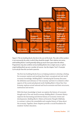

*Figure 5: The ten building blocks that form the core of this book. The order of the numbers is not necessarily the order in which they should be taught. Their relative size varies, with building blocks 7 and 8 generally taking up much more space than the others. Programmes may also combine various building blocks into a single course, or split a single building block up over a number of courses. See the chapter* Tool 5: Example Curricula *for how this can look in practice.*

The first two building blocks focus on helping students to develop a feeling for economic matters and teaching them basic conceptual and real-world economic knowledge. *Building Block 1: Introducing the Economy* discusses the definition and relevance of 'the economy' and how it is related to other aspects of the social and physical world. *Building Block 2: Know Your Own Economy,* explores actual national and local economies and their structures, institutions and sectors.

With this basic knowledge in hand, we explore the history of economic thought and of the real-world economy. *Building Block 3: Economic History*  explores the fascinating and diverse history of economic events and developments. *Building Block 4: History of Economic Thought & Methods*, in contrast, is about the remarkable and complex history of ideas about the economy. Together, these chapters provide a crucial foundation for students' further education.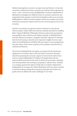Besides knowing basic economic concepts, facts and history, it is key that economics students learn how economies can and have been organised, at micro-, meso- and macro-levels. *Building Block 5: Economic Organisations & Mechanisms* investigates the different forms of economic interaction and organisation that operate at each level and together make up an economy. *Building Block 6: Political-Economic Systems* reviews the complex structures, institutions and power relations that form the overarching structure of an economy.

Another core element of a good economics education is a broad and diverse analytic toolkit, filled with relevant methods and theories. *Building Block 7: Research Methods & Philosophy of Science* is about both quantitative and qualitative data collection and analysis methods. In *Building Block 8: Economic Theories* we propose a 'pragmatic pluralist' approach to teaching theories by focusing on only the most important insights for every topic. These two building blocks will likely take more space in most programmes than the others, as the centre of gravity of an academic education lies in methods and theories.

The last two building blocks are largely concerned with the productive application of economic ideas in the real world. Economics education should be preparing the economic experts of tomorrow for their future roles in society. *Building Block 9: Problems & Proposals* deals with the practical skills necessary for the work of almost all economists: analysing real-world problems and working on proposals to address them, whether in a company, government agency, think tank or academic department. *Building Block 10: Economics for a Better World* deals with the values involved in decision making, asking what normative principles and visions can guide actions to address the major challenges of our times.